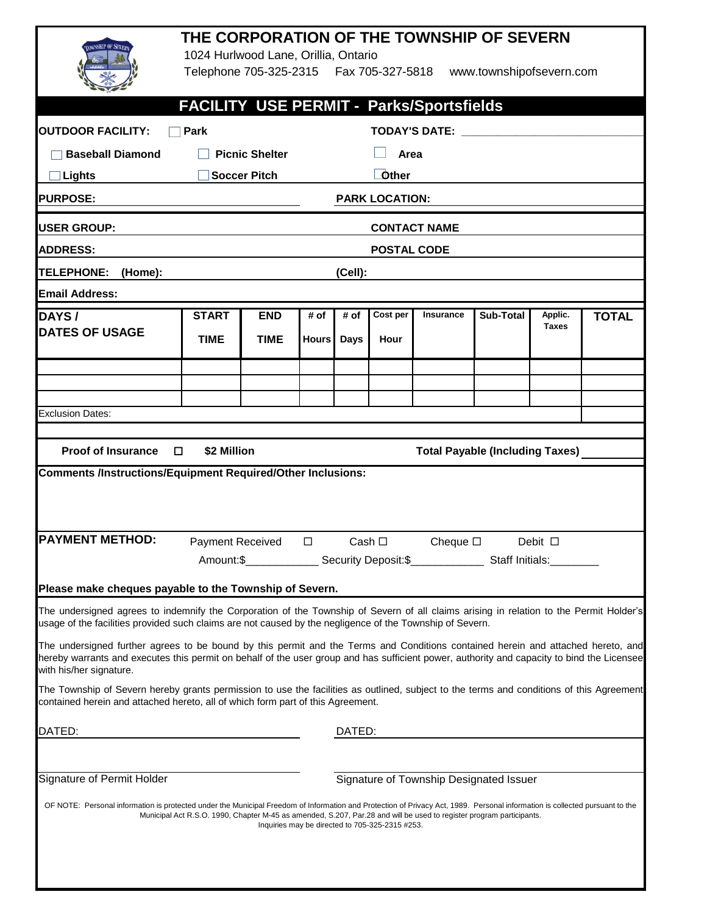|                                                                                                                                                                                                                                                                                                                                                                                                                                                                                                                                                                                                                                                                                                                                                                                                | THE CORPORATION OF THE TOWNSHIP OF SEVERN<br>1024 Hurlwood Lane, Orillia, Ontario<br>Telephone 705-325-2315    Fax 705-327-5818    www.townshipofsevern.com                                                                  |                           |                      |                                                                                                                |                                                 |                                                                                                                                                                 |           |                         |              |  |
|------------------------------------------------------------------------------------------------------------------------------------------------------------------------------------------------------------------------------------------------------------------------------------------------------------------------------------------------------------------------------------------------------------------------------------------------------------------------------------------------------------------------------------------------------------------------------------------------------------------------------------------------------------------------------------------------------------------------------------------------------------------------------------------------|------------------------------------------------------------------------------------------------------------------------------------------------------------------------------------------------------------------------------|---------------------------|----------------------|----------------------------------------------------------------------------------------------------------------|-------------------------------------------------|-----------------------------------------------------------------------------------------------------------------------------------------------------------------|-----------|-------------------------|--------------|--|
| FACILITY USE PERMIT - Parks/Sportsfields                                                                                                                                                                                                                                                                                                                                                                                                                                                                                                                                                                                                                                                                                                                                                       |                                                                                                                                                                                                                              |                           |                      |                                                                                                                |                                                 |                                                                                                                                                                 |           |                         |              |  |
| <b>OUTDOOR FACILITY:</b><br>Park                                                                                                                                                                                                                                                                                                                                                                                                                                                                                                                                                                                                                                                                                                                                                               |                                                                                                                                                                                                                              |                           |                      | TODAY'S DATE: New York State State State State State State State State State State State State State State Sta |                                                 |                                                                                                                                                                 |           |                         |              |  |
| <b>Baseball Diamond</b>                                                                                                                                                                                                                                                                                                                                                                                                                                                                                                                                                                                                                                                                                                                                                                        |                                                                                                                                                                                                                              | <b>Picnic Shelter</b>     |                      | Area                                                                                                           |                                                 |                                                                                                                                                                 |           |                         |              |  |
| <b>Lights</b>                                                                                                                                                                                                                                                                                                                                                                                                                                                                                                                                                                                                                                                                                                                                                                                  |                                                                                                                                                                                                                              | <b>Soccer Pitch</b>       |                      | <b>Other</b>                                                                                                   |                                                 |                                                                                                                                                                 |           |                         |              |  |
| <b>PURPOSE:</b><br><b>PARK LOCATION:</b>                                                                                                                                                                                                                                                                                                                                                                                                                                                                                                                                                                                                                                                                                                                                                       |                                                                                                                                                                                                                              |                           |                      |                                                                                                                |                                                 |                                                                                                                                                                 |           |                         |              |  |
| <b>USER GROUP:</b><br><b>CONTACT NAME</b>                                                                                                                                                                                                                                                                                                                                                                                                                                                                                                                                                                                                                                                                                                                                                      |                                                                                                                                                                                                                              |                           |                      |                                                                                                                |                                                 |                                                                                                                                                                 |           |                         |              |  |
| <b>ADDRESS:</b>                                                                                                                                                                                                                                                                                                                                                                                                                                                                                                                                                                                                                                                                                                                                                                                | <b>POSTAL CODE</b>                                                                                                                                                                                                           |                           |                      |                                                                                                                |                                                 |                                                                                                                                                                 |           |                         |              |  |
| <b>TELEPHONE:</b><br>(Home):                                                                                                                                                                                                                                                                                                                                                                                                                                                                                                                                                                                                                                                                                                                                                                   | (Cell):                                                                                                                                                                                                                      |                           |                      |                                                                                                                |                                                 |                                                                                                                                                                 |           |                         |              |  |
| <b>Email Address:</b>                                                                                                                                                                                                                                                                                                                                                                                                                                                                                                                                                                                                                                                                                                                                                                          |                                                                                                                                                                                                                              |                           |                      |                                                                                                                |                                                 |                                                                                                                                                                 |           |                         |              |  |
| <b>DAYS</b> /<br><b>DATES OF USAGE</b>                                                                                                                                                                                                                                                                                                                                                                                                                                                                                                                                                                                                                                                                                                                                                         | <b>START</b><br><b>TIME</b>                                                                                                                                                                                                  | <b>END</b><br><b>TIME</b> | # of<br><b>Hours</b> | # of<br><b>Days</b>                                                                                            | Cost per<br>Hour                                | Insurance                                                                                                                                                       | Sub-Total | Applic.<br><b>Taxes</b> | <b>TOTAL</b> |  |
| <b>Exclusion Dates:</b>                                                                                                                                                                                                                                                                                                                                                                                                                                                                                                                                                                                                                                                                                                                                                                        |                                                                                                                                                                                                                              |                           |                      |                                                                                                                |                                                 |                                                                                                                                                                 |           |                         |              |  |
| Proof of Insurance $\square$<br>\$2 Million<br><b>Total Payable (Including Taxes)</b><br><b>Comments /Instructions/Equipment Required/Other Inclusions:</b>                                                                                                                                                                                                                                                                                                                                                                                                                                                                                                                                                                                                                                    |                                                                                                                                                                                                                              |                           |                      |                                                                                                                |                                                 |                                                                                                                                                                 |           |                         |              |  |
| <b>PAYMENT METHOD:</b>                                                                                                                                                                                                                                                                                                                                                                                                                                                                                                                                                                                                                                                                                                                                                                         | Payment Received<br>$\Box$<br>Cash $\square$<br>Cheque $\square$<br>Debit $\square$<br>__________ Security Deposit:\$_______________ Staff Initials:_<br>Amount:\$<br>Please make cheques payable to the Township of Severn. |                           |                      |                                                                                                                |                                                 |                                                                                                                                                                 |           |                         |              |  |
| The undersigned agrees to indemnify the Corporation of the Township of Severn of all claims arising in relation to the Permit Holder's<br>usage of the facilities provided such claims are not caused by the negligence of the Township of Severn.<br>The undersigned further agrees to be bound by this permit and the Terms and Conditions contained herein and attached hereto, and<br>hereby warrants and executes this permit on behalf of the user group and has sufficient power, authority and capacity to bind the Licensee<br>with his/her signature.<br>The Township of Severn hereby grants permission to use the facilities as outlined, subject to the terms and conditions of this Agreement<br>contained herein and attached hereto, all of which form part of this Agreement. |                                                                                                                                                                                                                              |                           |                      |                                                                                                                |                                                 |                                                                                                                                                                 |           |                         |              |  |
| DATED:<br>DATED:                                                                                                                                                                                                                                                                                                                                                                                                                                                                                                                                                                                                                                                                                                                                                                               |                                                                                                                                                                                                                              |                           |                      |                                                                                                                |                                                 |                                                                                                                                                                 |           |                         |              |  |
| Signature of Permit Holder<br>OF NOTE: Personal information is protected under the Municipal Freedom of Information and Protection of Privacy Act, 1989. Personal information is collected pursuant to the                                                                                                                                                                                                                                                                                                                                                                                                                                                                                                                                                                                     |                                                                                                                                                                                                                              |                           |                      |                                                                                                                | Inquiries may be directed to 705-325-2315 #253. | Signature of Township Designated Issuer<br>Municipal Act R.S.O. 1990, Chapter M-45 as amended, S.207, Par.28 and will be used to register program participants. |           |                         |              |  |